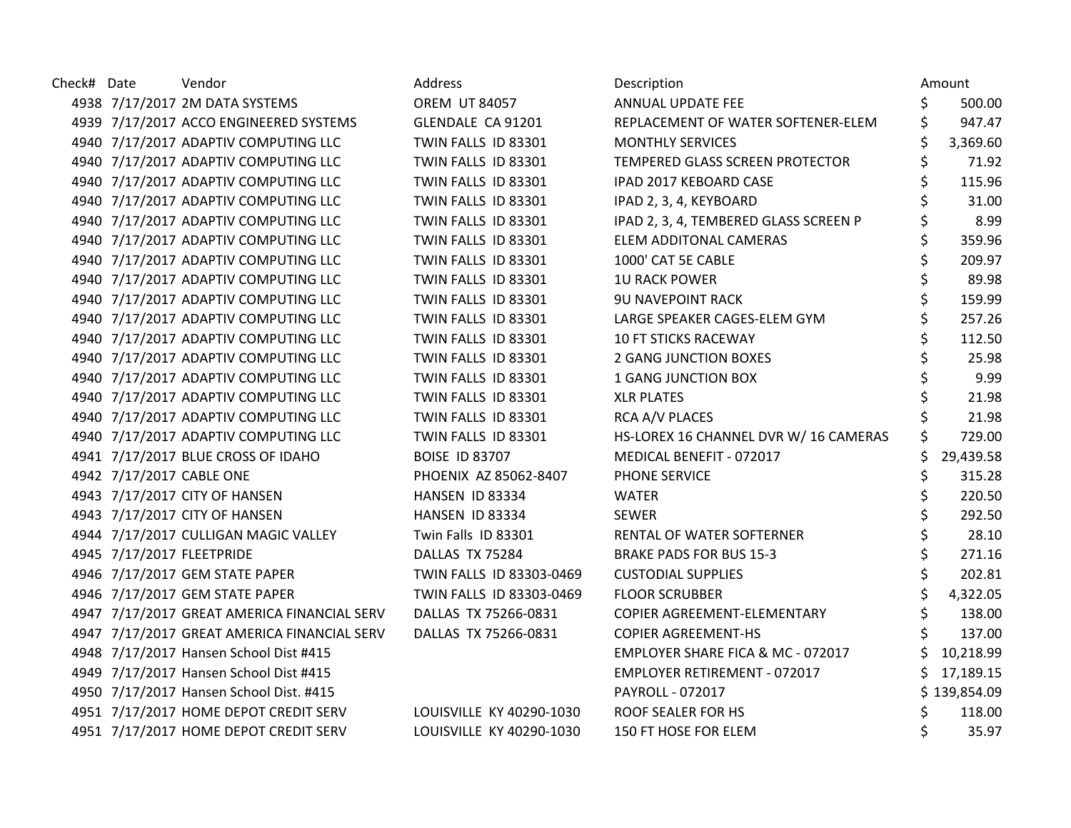| Check# Date | Vendor                                      | Address                  | Description                           | Amount       |
|-------------|---------------------------------------------|--------------------------|---------------------------------------|--------------|
|             | 4938 7/17/2017 2M DATA SYSTEMS              | <b>OREM UT 84057</b>     | ANNUAL UPDATE FEE                     | 500.00       |
|             | 4939 7/17/2017 ACCO ENGINEERED SYSTEMS      | GLENDALE CA 91201        | REPLACEMENT OF WATER SOFTENER-ELEM    | 947.47       |
|             | 4940 7/17/2017 ADAPTIV COMPUTING LLC        | TWIN FALLS ID 83301      | <b>MONTHLY SERVICES</b>               | 3,369.60     |
|             | 4940 7/17/2017 ADAPTIV COMPUTING LLC        | TWIN FALLS ID 83301      | TEMPERED GLASS SCREEN PROTECTOR       | 71.92        |
|             | 4940 7/17/2017 ADAPTIV COMPUTING LLC        | TWIN FALLS ID 83301      | IPAD 2017 KEBOARD CASE                | \$<br>115.96 |
|             | 4940 7/17/2017 ADAPTIV COMPUTING LLC        | TWIN FALLS ID 83301      | IPAD 2, 3, 4, KEYBOARD                | 31.00        |
|             | 4940 7/17/2017 ADAPTIV COMPUTING LLC        | TWIN FALLS ID 83301      | IPAD 2, 3, 4, TEMBERED GLASS SCREEN P | 8.99         |
|             | 4940 7/17/2017 ADAPTIV COMPUTING LLC        | TWIN FALLS ID 83301      | ELEM ADDITONAL CAMERAS                | 359.96       |
|             | 4940 7/17/2017 ADAPTIV COMPUTING LLC        | TWIN FALLS ID 83301      | 1000' CAT 5E CABLE                    | 209.97       |
|             | 4940 7/17/2017 ADAPTIV COMPUTING LLC        | TWIN FALLS ID 83301      | <b>1U RACK POWER</b>                  | \$<br>89.98  |
|             | 4940 7/17/2017 ADAPTIV COMPUTING LLC        | TWIN FALLS ID 83301      | <b>9U NAVEPOINT RACK</b>              | 159.99       |
|             | 4940 7/17/2017 ADAPTIV COMPUTING LLC        | TWIN FALLS ID 83301      | LARGE SPEAKER CAGES-ELEM GYM          | 257.26       |
|             | 4940 7/17/2017 ADAPTIV COMPUTING LLC        | TWIN FALLS ID 83301      | <b>10 FT STICKS RACEWAY</b>           | 112.50       |
|             | 4940 7/17/2017 ADAPTIV COMPUTING LLC        | TWIN FALLS ID 83301      | <b>2 GANG JUNCTION BOXES</b>          | 25.98        |
|             | 4940 7/17/2017 ADAPTIV COMPUTING LLC        | TWIN FALLS ID 83301      | 1 GANG JUNCTION BOX                   | 9.99         |
|             | 4940 7/17/2017 ADAPTIV COMPUTING LLC        | TWIN FALLS ID 83301      | <b>XLR PLATES</b>                     | 21.98        |
|             | 4940 7/17/2017 ADAPTIV COMPUTING LLC        | TWIN FALLS ID 83301      | RCA A/V PLACES                        | 21.98        |
|             | 4940 7/17/2017 ADAPTIV COMPUTING LLC        | TWIN FALLS ID 83301      | HS-LOREX 16 CHANNEL DVR W/ 16 CAMERAS | 729.00       |
|             | 4941 7/17/2017 BLUE CROSS OF IDAHO          | <b>BOISE ID 83707</b>    | MEDICAL BENEFIT - 072017              | 29,439.58    |
|             | 4942 7/17/2017 CABLE ONE                    | PHOENIX AZ 85062-8407    | PHONE SERVICE                         | 315.28       |
|             | 4943 7/17/2017 CITY OF HANSEN               | <b>HANSEN ID 83334</b>   | <b>WATER</b>                          | 220.50       |
|             | 4943 7/17/2017 CITY OF HANSEN               | HANSEN ID 83334          | <b>SEWER</b>                          | 292.50       |
|             | 4944 7/17/2017 CULLIGAN MAGIC VALLEY        | Twin Falls ID 83301      | RENTAL OF WATER SOFTERNER             | 28.10        |
|             | 4945 7/17/2017 FLEETPRIDE                   | DALLAS TX 75284          | <b>BRAKE PADS FOR BUS 15-3</b>        | \$<br>271.16 |
|             | 4946 7/17/2017 GEM STATE PAPER              | TWIN FALLS ID 83303-0469 | <b>CUSTODIAL SUPPLIES</b>             | 202.81       |
|             | 4946 7/17/2017 GEM STATE PAPER              | TWIN FALLS ID 83303-0469 | <b>FLOOR SCRUBBER</b>                 | 4,322.05     |
|             | 4947 7/17/2017 GREAT AMERICA FINANCIAL SERV | DALLAS TX 75266-0831     | COPIER AGREEMENT-ELEMENTARY           | 138.00       |
|             | 4947 7/17/2017 GREAT AMERICA FINANCIAL SERV | DALLAS TX 75266-0831     | <b>COPIER AGREEMENT-HS</b>            | 137.00       |
|             | 4948 7/17/2017 Hansen School Dist #415      |                          | EMPLOYER SHARE FICA & MC - 072017     | 10,218.99    |
|             | 4949 7/17/2017 Hansen School Dist #415      |                          | EMPLOYER RETIREMENT - 072017          | 17,189.15    |
|             | 4950 7/17/2017 Hansen School Dist. #415     |                          | PAYROLL - 072017                      | \$139,854.09 |
|             | 4951 7/17/2017 HOME DEPOT CREDIT SERV       | LOUISVILLE KY 40290-1030 | ROOF SEALER FOR HS                    | 118.00       |
|             | 4951 7/17/2017 HOME DEPOT CREDIT SERV       | LOUISVILLE KY 40290-1030 | 150 FT HOSE FOR ELEM                  | 35.97        |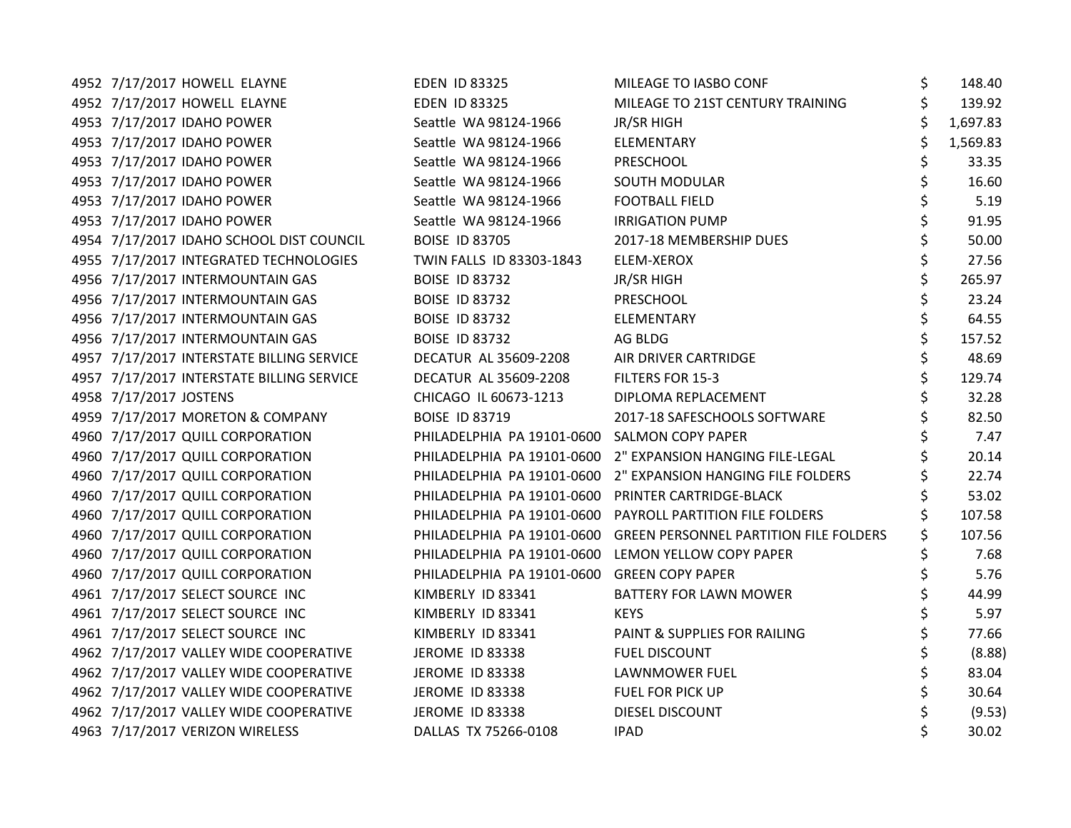| 4952 7/17/2017 HOWELL ELAYNE              | <b>EDEN ID 83325</b>                               | MILEAGE TO IASBO CONF                                             | \$<br>148.40 |
|-------------------------------------------|----------------------------------------------------|-------------------------------------------------------------------|--------------|
| 4952 7/17/2017 HOWELL ELAYNE              | <b>EDEN ID 83325</b>                               | MILEAGE TO 21ST CENTURY TRAINING                                  | 139.92       |
| 4953 7/17/2017 IDAHO POWER                | Seattle WA 98124-1966                              | <b>JR/SR HIGH</b>                                                 | 1,697.83     |
| 4953 7/17/2017 IDAHO POWER                | Seattle WA 98124-1966                              | ELEMENTARY                                                        | 1,569.83     |
| 4953 7/17/2017 IDAHO POWER                | Seattle WA 98124-1966                              | PRESCHOOL                                                         | 33.35        |
| 4953 7/17/2017 IDAHO POWER                | Seattle WA 98124-1966                              | SOUTH MODULAR                                                     | 16.60        |
| 4953 7/17/2017 IDAHO POWER                | Seattle WA 98124-1966                              | <b>FOOTBALL FIELD</b>                                             | 5.19         |
| 4953 7/17/2017 IDAHO POWER                | Seattle WA 98124-1966                              | <b>IRRIGATION PUMP</b>                                            | 91.95        |
| 4954 7/17/2017 IDAHO SCHOOL DIST COUNCIL  | <b>BOISE ID 83705</b>                              | 2017-18 MEMBERSHIP DUES                                           | 50.00        |
| 4955 7/17/2017 INTEGRATED TECHNOLOGIES    | TWIN FALLS ID 83303-1843                           | ELEM-XEROX                                                        | \$<br>27.56  |
| 4956 7/17/2017 INTERMOUNTAIN GAS          | <b>BOISE ID 83732</b>                              | <b>JR/SR HIGH</b>                                                 | \$<br>265.97 |
| 4956 7/17/2017 INTERMOUNTAIN GAS          | <b>BOISE ID 83732</b>                              | PRESCHOOL                                                         | 23.24        |
| 4956 7/17/2017 INTERMOUNTAIN GAS          | <b>BOISE ID 83732</b>                              | ELEMENTARY                                                        | 64.55        |
| 4956 7/17/2017 INTERMOUNTAIN GAS          | <b>BOISE ID 83732</b>                              | AG BLDG                                                           | 157.52       |
| 4957 7/17/2017 INTERSTATE BILLING SERVICE | DECATUR AL 35609-2208                              | AIR DRIVER CARTRIDGE                                              | \$<br>48.69  |
| 4957 7/17/2017 INTERSTATE BILLING SERVICE | DECATUR AL 35609-2208                              | FILTERS FOR 15-3                                                  | \$<br>129.74 |
| 4958 7/17/2017 JOSTENS                    | CHICAGO IL 60673-1213                              | DIPLOMA REPLACEMENT                                               | 32.28        |
| 4959 7/17/2017 MORETON & COMPANY          | <b>BOISE ID 83719</b>                              | 2017-18 SAFESCHOOLS SOFTWARE                                      | 82.50        |
| 4960 7/17/2017 QUILL CORPORATION          | PHILADELPHIA PA 19101-0600 SALMON COPY PAPER       |                                                                   | 7.47         |
| 4960 7/17/2017 QUILL CORPORATION          |                                                    | PHILADELPHIA PA 19101-0600 2" EXPANSION HANGING FILE-LEGAL        | 20.14        |
| 4960 7/17/2017 QUILL CORPORATION          |                                                    | PHILADELPHIA PA 19101-0600 2" EXPANSION HANGING FILE FOLDERS      | 22.74        |
| 4960 7/17/2017 QUILL CORPORATION          | PHILADELPHIA PA 19101-0600 PRINTER CARTRIDGE-BLACK |                                                                   | 53.02        |
| 4960 7/17/2017 QUILL CORPORATION          |                                                    | PHILADELPHIA PA 19101-0600 PAYROLL PARTITION FILE FOLDERS         | 107.58       |
| 4960 7/17/2017 QUILL CORPORATION          |                                                    | PHILADELPHIA PA 19101-0600 GREEN PERSONNEL PARTITION FILE FOLDERS | 107.56       |
| 4960 7/17/2017 QUILL CORPORATION          | PHILADELPHIA PA 19101-0600 LEMON YELLOW COPY PAPER |                                                                   | 7.68         |
| 4960 7/17/2017 QUILL CORPORATION          | PHILADELPHIA PA 19101-0600                         | <b>GREEN COPY PAPER</b>                                           | 5.76         |
| 4961 7/17/2017 SELECT SOURCE INC          | KIMBERLY ID 83341                                  | <b>BATTERY FOR LAWN MOWER</b>                                     | 44.99        |
| 4961 7/17/2017 SELECT SOURCE INC          | KIMBERLY ID 83341                                  | <b>KEYS</b>                                                       | 5.97         |
| 4961 7/17/2017 SELECT SOURCE INC          | KIMBERLY ID 83341                                  | PAINT & SUPPLIES FOR RAILING                                      | 77.66        |
| 4962 7/17/2017 VALLEY WIDE COOPERATIVE    | <b>JEROME ID 83338</b>                             | <b>FUEL DISCOUNT</b>                                              | (8.88)       |
| 4962 7/17/2017 VALLEY WIDE COOPERATIVE    | <b>JEROME ID 83338</b>                             | LAWNMOWER FUEL                                                    | 83.04        |
| 4962 7/17/2017 VALLEY WIDE COOPERATIVE    | <b>JEROME ID 83338</b>                             | FUEL FOR PICK UP                                                  | 30.64        |
| 4962 7/17/2017 VALLEY WIDE COOPERATIVE    | <b>JEROME ID 83338</b>                             | DIESEL DISCOUNT                                                   | (9.53)       |
| 4963 7/17/2017 VERIZON WIRELESS           | DALLAS TX 75266-0108                               | <b>IPAD</b>                                                       | 30.02        |